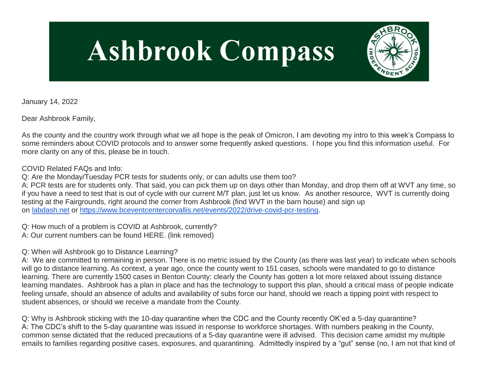# **Ashbrook Compass**



January 14, 2022

Dear Ashbrook Family,

As the county and the country work through what we all hope is the peak of Omicron, I am devoting my intro to this week's Compass to some reminders about COVID protocols and to answer some frequently asked questions. I hope you find this information useful. For more clarity on any of this, please be in touch.

COVID Related FAQs and Info:

Q: Are the Monday/Tuesday PCR tests for students only, or can adults use them too?

A: PCR tests are for students only. That said, you can pick them up on days other than Monday, and drop them off at WVT any time, so if you have a need to test that is out of cycle with our current M/T plan, just let us know. As another resource, WVT is currently doing testing at the Fairgrounds, right around the corner from Ashbrook (find WVT in the barn house) and sign up on [labdash.net](http://labdash.net/) or [https://www.bceventcentercorvallis.net/events/2022/drive-covid-pcr-testing.](https://www.bceventcentercorvallis.net/events/2022/drive-covid-pcr-testing)

Q: How much of a problem is COVID at Ashbrook, currently? A: Our current numbers can be found HERE. (link removed)

Q: When will Ashbrook go to Distance Learning?

A: We are committed to remaining in person. There is no metric issued by the County (as there was last year) to indicate when schools will go to distance learning. As context, a year ago, once the county went to 151 cases, schools were mandated to go to distance learning. There are currently 1500 cases in Benton County: clearly the County has gotten a lot more relaxed about issuing distance learning mandates. Ashbrook has a plan in place and has the technology to support this plan, should a critical mass of people indicate feeling unsafe, should an absence of adults and availability of subs force our hand, should we reach a tipping point with respect to student absences, or should we receive a mandate from the County.

Q: Why is Ashbrook sticking with the 10-day quarantine when the CDC and the County recently OK'ed a 5-day quarantine? A: The CDC's shift to the 5-day quarantine was issued in response to workforce shortages. With numbers peaking in the County, common sense dictated that the reduced precautions of a 5-day quarantine were ill advised. This decision came amidst my multiple emails to families regarding positive cases, exposures, and quarantining. Admittedly inspired by a "gut" sense (no, I am not that kind of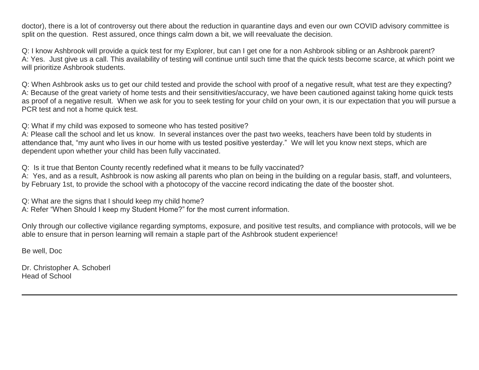doctor), there is a lot of controversy out there about the reduction in quarantine days and even our own COVID advisory committee is split on the question. Rest assured, once things calm down a bit, we will reevaluate the decision.

Q: I know Ashbrook will provide a quick test for my Explorer, but can I get one for a non Ashbrook sibling or an Ashbrook parent? A: Yes. Just give us a call. This availability of testing will continue until such time that the quick tests become scarce, at which point we will prioritize Ashbrook students.

Q: When Ashbrook asks us to get our child tested and provide the school with proof of a negative result, what test are they expecting? A: Because of the great variety of home tests and their sensitivities/accuracy, we have been cautioned against taking home quick tests as proof of a negative result. When we ask for you to seek testing for your child on your own, it is our expectation that you will pursue a PCR test and not a home quick test.

Q: What if my child was exposed to someone who has tested positive?

A: Please call the school and let us know. In several instances over the past two weeks, teachers have been told by students in attendance that, "my aunt who lives in our home with us tested positive yesterday." We will let you know next steps, which are dependent upon whether your child has been fully vaccinated.

Q: Is it true that Benton County recently redefined what it means to be fully vaccinated?

A: Yes, and as a result, Ashbrook is now asking all parents who plan on being in the building on a regular basis, staff, and volunteers, by February 1st, to provide the school with a photocopy of the vaccine record indicating the date of the booster shot.

Q: What are the signs that I should keep my child home? A: Refer "When Should I keep my Student Home?" for the most current information.

Only through our collective vigilance regarding symptoms, exposure, and positive test results, and compliance with protocols, will we be able to ensure that in person learning will remain a staple part of the Ashbrook student experience!

Be well, Doc

Dr. Christopher A. Schoberl Head of School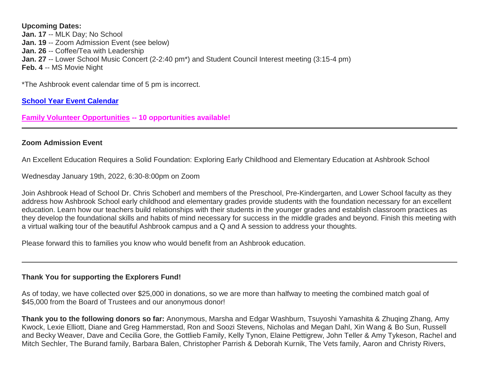#### **Upcoming Dates:**

**Jan. 17** -- MLK Day; No School **Jan. 19** -- Zoom Admission Event (see below) **Jan. 26** -- Coffee/Tea with Leadership **Jan. 27** -- Lower School Music Concert (2-2:40 pm<sup>\*</sup>) and Student Council Interest meeting (3:15-4 pm) **Feb. 4** -- MS Movie Night

\*The Ashbrook event calendar time of 5 pm is incorrect.

### **[School Year Event Calendar](http://link.mystudentsprogress.com/ls/click?upn=n7jYKe39nC4PrVAw2BzaOolgU5XUleaJ61qfvNJxTW3uoi8RFzNYUfSc1qXdqajA34djZWrxIBJBxzp2whbybvqIYp3dDOkCDgKesziBdCm1u7J5UB6bwQicng-2BhFj8jm5vDG0tBEB0sO-2FO3RXilW8Csk5oOSfGUUXvh5WSdqhvDojIY5znyF-2BOYIJP1WK6BqIJY_1PndbFfBoQGSZbxwXHHEexw3B2F0fG-2BUmuXm6a-2BX-2BzverXO8M3ENa5EDY945mL2nIiYoyp-2FGvI13a-2B5kGLnr3TmjR4m-2FpW-2Bnmfxmt5leFJruWDSka-2BY7SwHVKjggfsEEAuqCEsRRxwC4WtieVHkdZpBrkV6W5VwrA-2Fgmg8q8gjwhhO3bZf-2Ba3DdN8RiZatmRTq9fiqAEW-2F2ve39fg3HHVWxJWt9GXslrLtdo8ri6stMS3Lspp5trXuVkmEacOYAGq7MfXw5vS68NkgVlgu5la-2B9iRRjLy8casdh0GdeJED-2FN7tBxPuHji5lKBzzFSPuFRa-2BkabUlgTSw52W6aYAVM3efAGzXbzfxU0oLMho6-2BuYRyjFQ7bg4AlbwnegLeikiE5swIL5v0vu4o0M4zKGtxihH-2BuvsCi9gNiUbLEodIe7VisiZxo9uunPARiCsh45X)**

**[Family Volunteer Opportunities](http://link.mystudentsprogress.com/ls/click?upn=VpBe6Z9t6RkEC4qAoQCerkRqVNRJCi4SE2bZPjoSvlxSlLFpfnUYhuutAutUGnBh84nj-2BJvhJlx1K1dJMDDqBY1qLZ1O0nCcHebienBZj-2BKxsXBin-2FugM50Q-2FqN8cLG3Urd1ZQzGcMWtkFleXRzacA-3D-3DX6Wq_1PndbFfBoQGSZbxwXHHEexw3B2F0fG-2BUmuXm6a-2BX-2BzverXO8M3ENa5EDY945mL2nIiYoyp-2FGvI13a-2B5kGLnr3euCzpUt0YCOnEL48pZ9o3mwdsu6VwduG-2FMk-2BhXRi3mEnAKtfkUqhH2aWmbJIzJ034wPqnqXnSGbYdIe9ZHoRipF9vx2-2FDXI0oziVQiLYoulHPwcYqLa99RcmHCCOMYRfAlqjGfjcswpAqkZqzdK5gT5VXk8UhQC5NZTwHHK2LQBh4I3O0SC7551GMKX35HzwRpklCY7NPw7e4uX-2B0SFJ0FoPbFyPZ5ReqDGk-2BqJsvjtYvSvOw21stAYefgKTXzE52OzhPszRF6-2BqTtg609luVbyoTHS-2BJ8m-2FEAHGKvz1cno-2BWCtHjQtW3oU1gYW1Xqtx-2F7wIeyDDSO-2BGTFqnbyOtNK9IhVe86IxE4hWlJOc2I8B) -- 10 opportunities available!**

#### **Zoom Admission Event**

An Excellent Education Requires a Solid Foundation: Exploring Early Childhood and Elementary Education at Ashbrook School

Wednesday January 19th, 2022, 6:30-8:00pm on Zoom

Join Ashbrook Head of School Dr. Chris Schoberl and members of the Preschool, Pre-Kindergarten, and Lower School faculty as they address how Ashbrook School early childhood and elementary grades provide students with the foundation necessary for an excellent education. Learn how our teachers build relationships with their students in the younger grades and establish classroom practices as they develop the foundational skills and habits of mind necessary for success in the middle grades and beyond. Finish this meeting with a virtual walking tour of the beautiful Ashbrook campus and a Q and A session to address your thoughts.

Please forward this to families you know who would benefit from an Ashbrook education.

#### **Thank You for supporting the Explorers Fund!**

As of today, we have collected over \$25,000 in donations, so we are more than halfway to meeting the combined match goal of \$45,000 from the Board of Trustees and our anonymous donor!

**Thank you to the following donors so far:** Anonymous, Marsha and Edgar Washburn, Tsuyoshi Yamashita & Zhuqing Zhang, Amy Kwock, Lexie Elliott, Diane and Greg Hammerstad, Ron and Soozi Stevens, Nicholas and Megan Dahl, Xin Wang & Bo Sun, Russell and Becky Weaver, Dave and Cecilia Gore, the Gottlieb Family, Kelly Tynon, Elaine Pettigrew, John Teller & Amy Tykeson, Rachel and Mitch Sechler, The Burand family, Barbara Balen, Christopher Parrish & Deborah Kurnik, The Vets family, Aaron and Christy Rivers,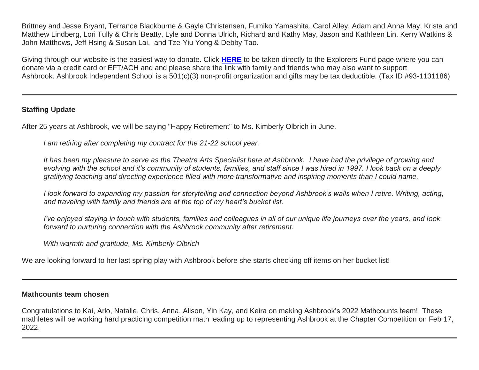Brittney and Jesse Bryant, Terrance Blackburne & Gayle Christensen, Fumiko Yamashita, Carol Alley, Adam and Anna May, Krista and Matthew Lindberg, Lori Tully & Chris Beatty, Lyle and Donna Ulrich, Richard and Kathy May, Jason and Kathleen Lin, Kerry Watkins & John Matthews, Jeff Hsing & Susan Lai, and Tze-Yiu Yong & Debby Tao.

Giving through our website is the easiest way to donate. Click **[HERE](http://link.mystudentsprogress.com/ls/click?upn=5XDbAd9r0ovG7GZusFBG8PaUF78UqItDelTGdwk7Y5YuTzHCPAjU3puEFCesf3czmLI6pjYvXrYopLnNSPnw-2Fg-3D-3Dm-zP_1PndbFfBoQGSZbxwXHHEexw3B2F0fG-2BUmuXm6a-2BX-2BzverXO8M3ENa5EDY945mL2nIiYoyp-2FGvI13a-2B5kGLnr3eyymNy6dA-2BEWhgr7aizTG0ybT0WgZHqFUHmZCSTERq1DCHLfRxKENhLkS1sUso-2FjCAa98rgOhs8IvfgwaUktzPvAbJqluG4Vv9N7okM4wYvE-2FRYtCwxejOq4sT9LaV8j-2B-2FpR05MuzKzxiqRWW9UoTLwPTBIIB5KvVswJxLURIcw90X08fIk381aZ7lh0jAhC998XQstkVLzld0fa0pU7nQl-2BeDnXDv0NIFKyWkTZj1v2bu5hbPVJNlSqhGrxybQYwYWnquXcEsxJ8TH3GxbfELMdhqWn8tme4quG2p3MQFeR8X6QaoRdXN221x3Gar6zh4EfTSqUEVnD5xYsQCuv6XP6XbEbkv6KEdO9StaHfGV)** to be taken directly to the Explorers Fund page where you can donate via a credit card or EFT/ACH and and please share the link with family and friends who may also want to support Ashbrook. Ashbrook Independent School is a 501(c)(3) non-profit organization and gifts may be tax deductible. (Tax ID #93-1131186)

## **Staffing Update**

After 25 years at Ashbrook, we will be saying "Happy Retirement" to Ms. Kimberly Olbrich in June.

*I am retiring after completing my contract for the 21-22 school year.*

*It has been my pleasure to serve as the Theatre Arts Specialist here at Ashbrook. I have had the privilege of growing and evolving with the school and it's community of students, families, and staff since I was hired in 1997. I look back on a deeply gratifying teaching and directing experience filled with more transformative and inspiring moments than I could name.*

*I look forward to expanding my passion for storytelling and connection beyond Ashbrook's walls when I retire. Writing, acting, and traveling with family and friends are at the top of my heart's bucket list.*

*I've enjoyed staying in touch with students, families and colleagues in all of our unique life journeys over the years, and look forward to nurturing connection with the Ashbrook community after retirement.*

*With warmth and gratitude, Ms. Kimberly Olbrich*

We are looking forward to her last spring play with Ashbrook before she starts checking off items on her bucket list!

#### **Mathcounts team chosen**

Congratulations to Kai, Arlo, Natalie, Chris, Anna, Alison, Yin Kay, and Keira on making Ashbrook's 2022 Mathcounts team! These mathletes will be working hard practicing competition math leading up to representing Ashbrook at the Chapter Competition on Feb 17, 2022.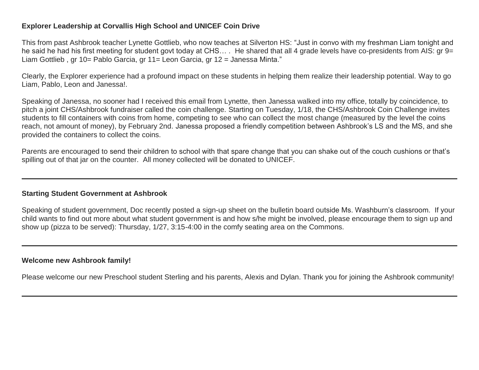## **Explorer Leadership at Corvallis High School and UNICEF Coin Drive**

This from past Ashbrook teacher Lynette Gottlieb, who now teaches at Silverton HS: "Just in convo with my freshman Liam tonight and he said he had his first meeting for student govt today at CHS.... He shared that all 4 grade levels have co-presidents from AIS: gr 9= Liam Gottlieb , gr 10= Pablo Garcia, gr 11= Leon Garcia, gr 12 = Janessa Minta."

Clearly, the Explorer experience had a profound impact on these students in helping them realize their leadership potential. Way to go Liam, Pablo, Leon and Janessa!.

Speaking of Janessa, no sooner had I received this email from Lynette, then Janessa walked into my office, totally by coincidence, to pitch a joint CHS/Ashbrook fundraiser called the coin challenge. Starting on Tuesday, 1/18, the CHS/Ashbrook Coin Challenge invites students to fill containers with coins from home, competing to see who can collect the most change (measured by the level the coins reach, not amount of money), by February 2nd. Janessa proposed a friendly competition between Ashbrook's LS and the MS, and she provided the containers to collect the coins.

Parents are encouraged to send their children to school with that spare change that you can shake out of the couch cushions or that's spilling out of that jar on the counter. All money collected will be donated to UNICEF.

#### **Starting Student Government at Ashbrook**

Speaking of student government, Doc recently posted a sign-up sheet on the bulletin board outside Ms. Washburn's classroom. If your child wants to find out more about what student government is and how s/he might be involved, please encourage them to sign up and show up (pizza to be served): Thursday, 1/27, 3:15-4:00 in the comfy seating area on the Commons.

#### **Welcome new Ashbrook family!**

Please welcome our new Preschool student Sterling and his parents, Alexis and Dylan. Thank you for joining the Ashbrook community!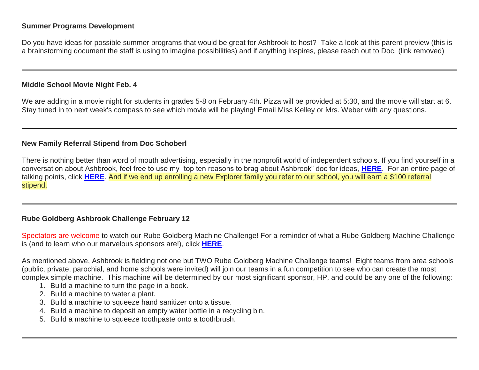#### **Summer Programs Development**

Do you have ideas for possible summer programs that would be great for Ashbrook to host? Take a look at this parent preview (this is a brainstorming document the staff is using to imagine possibilities) and if anything inspires, please reach out to Doc. (link removed)

#### **Middle School Movie Night Feb. 4**

We are adding in a movie night for students in grades 5-8 on February 4th. Pizza will be provided at 5:30, and the movie will start at 6. Stay tuned in to next week's compass to see which movie will be playing! Email Miss Kelley or Mrs. Weber with any questions.

#### **New Family Referral Stipend from Doc Schoberl**

There is nothing better than word of mouth advertising, especially in the nonprofit world of independent schools. If you find yourself in a conversation about Ashbrook, feel free to use my "top ten reasons to brag about Ashbrook" doc for ideas, **[HERE](http://link.mystudentsprogress.com/ls/click?upn=TUHIw15RkZKA-2BkrQie-2FntaQiAIzyVKoAcjBRQlnVZKd-2BHIYHyC6WBSgp4Ve86SHv8a7wE6eUxxK5iqBVRh3xGAZsNJTwm2VPDqtGZZwdktam7cJ4QSza3hclvtXaHhvB2XxX-2FHpI3M-2BvsHAM-2F-2FSbZ5pEgJQymg3fb4dIGerQ3KVLsicwlA5Ke1wzwxIx2IaX47Hj8VBADqQn1EmRZbwMRH9hmFOFM-2FYUo5ZYG0JScfJr42pOsv6xTmjABo67Nx6wblN6O1EOcfokQZMSaNY8349jykj6C6ksXL-2BmT12VlCXPNp27-2F0LbOiHtJtIaUuOD4GdX6NtyvIuD3mjnJCwXjqKx0KZVCSI4-2BzHk6VYHyJCkL-2FdcI3mBjI-2FQNyBXXb76s5l5SKDn0mq5z5HfdCtLtMZJStTjPIOVrSkgmJDxiz2Li2sVr-2FbAzPRM8IcEvMZhUIyywpbWNuc1JUtUzbIprUaVBGzYeM0Y0Qhu7DK6xd4swu6Xd-2Btr80eZTo-2B3rl02b-2Bip-2BfFimo7u-2BP6VNTGzH8dqjGx9M7c4SYyEuSY7bsBosRTlKT2Av1qAcZWkBe0QYHGrpdJn-2BVn89B2qCwGqsCWq-2B44Xgx25g0idLgRP6o25tzUFAuZLvEM69H6lKE371qgke1Qp81-2BVmMAwKMHHNV-2Fp-2FWsJgZWPuQfkOCnbyJWbin9E7HCfGl-2Bbgqc1oz3U2gdGytbX8GI71zwiCebWUnLSgEZDaHZtFfsXsMBKwSNW0QYsrOEkd4BrnUJT-2Fv-2BfE4FGUN8pG7rRv1iMIBM7QE0MdSHB4XP4OxHlq856huBZsuBLKeyxiwWJ14jmTDd9QpyHm-2FJNWhhfZk2aLedHOyH8uHz-2FxKXlogdvID7axmJCUU5TxXq9-2B5cePE5JlVVWhHm-2F-2B-2BtESuhwASeLCZggFnKOvZWrkGsGC0m8rRWpJqs-3DyLDu_1PndbFfBoQGSZbxwXHHEexw3B2F0fG-2BUmuXm6a-2BX-2BzverXO8M3ENa5EDY945mL2nIiYoyp-2FGvI13a-2B5kGLnr3W2U0iDo3DctwAtpdgh5EcCsa7l7m5Zi7wnhqhf4LpRe-2F-2BMgCYzDgJ0Pz3yAUxZdwHdfsOyTvFJKmAQQMtZrLEDLyFSH1CBNiOPdZlWxfSCvv8HNB5k3lL4uh2a-2BxbNW0vJxBZIuIZOSH83fcgftpuiJaDD9uiGCbQGI5x8m0U-2BbPZ6601iArhBymjPbnW3CXtvx8fiynTltVA8-2BgKbYjlO0I-2FhC5PrF3R5n8qg1UubVyTaNYrmMFLlZecMBBk0oXcOd1xF45nN7zYmTQAp8-2F7yWf8E4gsdq2lHny7V-2Fh5PNA1yznwhfXoABUvmSNHSx6EURGI-2FRREXHUIXw1lmS76TtPmz-2BOQ2N7NazNOQLd3Cn)**. For an entire page of talking points, click **[HERE](http://link.mystudentsprogress.com/ls/click?upn=TUHIw15RkZKA-2BkrQie-2FntaQiAIzyVKoAcjBRQlnVZKd-2BHIYHyC6WBSgp4Ve86SHvjAP5Pp39wnVwPD89AwlNELYgYQV0LTFwk5Vx6CxwBSYJTU9-2BI2xgoJPo0PXZ-2Brvcnt2wXscEO0OZ8rcdqKJGtEKbNH0mxRY3PsI8q-2FePFg-2FM25883qUgX4LL0F2v3Nv05L5S8LohhXB47aITaWjjnfxkH4Pd4Bw-2BCOJnaT-2F-2FywtoWmvcwteFdFhh0UQKIeV-2FONKWbxhlM5R0J-2BSZxuLsHxqHonJ6wqKIpuoEAf7PPfbAwtdT31LSKJanLu3F0qhDNYxQJgsJMISJmy6vajZzfEYuGdzeNCqsLRUELYi0RYY9anuM4s9k2TklDzVOZMDe72fece4h-2FFZhkdlinaYEf5ceHbWqNCVAwTtKcWHQFPdbuzcbqPfnj5nvYQemRnB14GjP4pP2Jcgo80LDMbaZGGGNLAhhddN-2FXVyqNvUrwb8BufnQbgbIJ5P1w6VDd8E3w5Ms0vlWpS9lRT-2BBkgUtyvRnixhWb8OGv9aI-2F3TFhinVY3Qfc9Rte70qA6P9s9cx3jyOD0oTaYEpWY2JHNvgEAccRlex-2BjtpTqn5DkCJ1oWbNSsXP-2BVB8Xirxz6q05p1zVajKAtFDsMoOYKOrWaOgizaMPJjaIVI2UXD5cDxfBezNw06wPGlHKfxXw7A-2FTWw7EWbmSixAWhNpuCZ8A1qaik-2FNMvEWOKyLdAAwo53bBtKewJUxe3LSg73uz28Hle00BCrwNtKooTuJmAyBWYAWmn5r5UopDxu6y5Y1oXicntF8vFpDbpDaFWXoCR9CAUFr-2BaXZWoaDY3nPS4BUesTGFsk-2By1Hjv2oA09W4dcoV8aOoHCmN1OXsRYeyFKMKR9XRb1Dc-2B2slrDcdrJetqGJog-3D-3DLcTX_1PndbFfBoQGSZbxwXHHEexw3B2F0fG-2BUmuXm6a-2BX-2BzverXO8M3ENa5EDY945mL2nIiYoyp-2FGvI13a-2B5kGLnr3aUWuEWodd7OqViJEUDXNu6xHTFf1340MdEAIliGrnC-2BS2EU3M5W-2FqQ2UZRci2J1gzoo4ZNcqr6iwvP03-2BjjUJ2bn43xcOuApxn-2B56TvVv5Q6LZA5R-2FCjmjWCbxgjVT0QvfxnSA5E6gINfijxscskEbQH-2Bt2FvlQ8cBI9nX549-2FtFxoZ-2B9BMuZttUmicwYMPoNWbBrguFhjHLKVzfCA69scQabYkCrGJBKXG9lbQg6aPn-2BrrNPbWZVlvLvi-2BVahJXoDkipDVXbzlObhX6VMQ-2FQ6WLw3YA4aRUNWOyqm0-2FjCO1x01CCUge5ai1tQhmB-2FnPhB8lKrDm-2FSo5UMnkMKv0IDSsgD8MNWV07ArcSB6UVWe)**. And if we end up enrolling a new Explorer family you refer to our school, you will earn a \$100 referral stipend.

#### **Rube Goldberg Ashbrook Challenge February 12**

Spectators are welcome to watch our Rube Goldberg Machine Challenge! For a reminder of what a Rube Goldberg Machine Challenge is (and to learn who our marvelous sponsors are!), click **[HERE](http://link.mystudentsprogress.com/ls/click?upn=VpBe6Z9t6RkEC4qAoQCerkRqVNRJCi4SE2bZPjoSvly4Fl1rEVk6iTXLXAh3m1uO6ZREGgy0jRpPy3z9B6qC7k13dGK-2BzvNKk1fYfPQ2imllJl8VwFJT0rh-2BQ5poTuj6qkvz_1PndbFfBoQGSZbxwXHHEexw3B2F0fG-2BUmuXm6a-2BX-2BzverXO8M3ENa5EDY945mL2nIiYoyp-2FGvI13a-2B5kGLnr3dQmcthJsoHXGZO7Jwu02Z54OEmP4eqtvDnurqX9HkDxjkU349HxM4YLQ6nY6jwXfthhzoiJ-2BrB1YV6qIta5w88ldKG7v43LUj-2BoFbVYAvGFryxyq-2FKvYSIMb-2B6PW6j6CwnR42eqZNzcgbj-2BmBlwKxM-2BzM6p6G0xiWJLu4bAbaciFTILwOJmwmIH-2BVbN0rDFUSDWWBl39wcSjHx28Z5n-2BUhGOLB9neRCiVB9k-2FhacKEfmiolBntXPBY-2FkYCo7okRBO70kfmEp2Wg1-2B-2FrIV9Squ53irjNSXNjdtvXPMCPJG-2BpLvitNWpX6HL-2BkUUb-2FNCaVwzgp066ZLPNS0ARVrIU7Oj58-2FdtAOoXHrSIrFUMqWPp)**.

As mentioned above, Ashbrook is fielding not one but TWO Rube Goldberg Machine Challenge teams! Eight teams from area schools (public, private, parochial, and home schools were invited) will join our teams in a fun competition to see who can create the most complex simple machine. This machine will be determined by our most significant sponsor, HP, and could be any one of the following:

- 1. Build a machine to turn the page in a book.
- 2. Build a machine to water a plant.
- 3. Build a machine to squeeze hand sanitizer onto a tissue.
- 4. Build a machine to deposit an empty water bottle in a recycling bin.
- 5. Build a machine to squeeze toothpaste onto a toothbrush.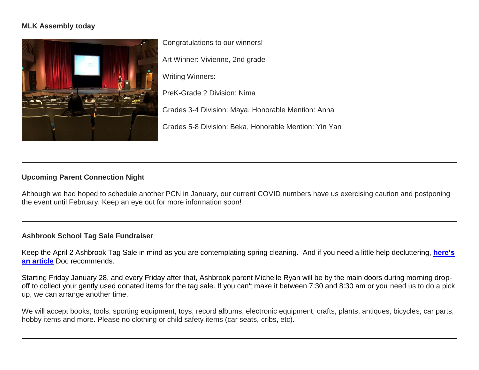## **MLK Assembly today**



Congratulations to our winners! Art Winner: Vivienne, 2nd grade Writing Winners: PreK-Grade 2 Division: Nima Grades 3-4 Division: Maya, Honorable Mention: Anna Grades 5-8 Division: Beka, Honorable Mention: Yin Yan

## **Upcoming Parent Connection Night**

Although we had hoped to schedule another PCN in January, our current COVID numbers have us exercising caution and postponing the event until February. Keep an eye out for more information soon!

#### **Ashbrook School Tag Sale Fundraiser**

Keep the April 2 Ashbrook Tag Sale in mind as you are contemplating spring cleaning. And if you need a little help decluttering, **[here's](http://link.mystudentsprogress.com/ls/click?upn=n71O4y4PYd0YM2sDUoIvMfLIUy4DzA1YRdR-2BC-2Bfp5ObzIaogmL1mJnMnKNA5PFmbOe014-2FGVggbjEWxfyKQxwA-3D-3DJf3-_1PndbFfBoQGSZbxwXHHEexw3B2F0fG-2BUmuXm6a-2BX-2BzverXO8M3ENa5EDY945mL2nIiYoyp-2FGvI13a-2B5kGLnr3bn9jjbOscbUpEiL4GOEiZ-2FwppLfek-2BWLMs9Q9mYNAtxHIBZ-2FuUZ0lRdCOPPUObxoB2LyWuPNnJBjoj-2FZ9QZDVJ44Nsk-2FNK6fOE7UfxYfCBPv2i4Zs-2FBKWIQPOAXMyc0QWNV-2BTd64B6bSELng-2BI9d7mUgGtvNa1BZlWgHRL9PI431vSx8sFRbHFP-2F2NYJmeu6svuUMf9Ejqk6TuToqPCK62gjKMNFEnyCRzT1mVV7QKEq41cz-2Br6ooubSjVl5rePblMMcgnig56HqpbpqUH-2BX2Ef5YHzb6j8cT-2BO533l7F-2B-2BUSLyTZPhkicC4MQiqIHelCsgfdTagduf1wJdkxoII5cpEDexkWAEyJet8BT3Ueg3)  [an article](http://link.mystudentsprogress.com/ls/click?upn=n71O4y4PYd0YM2sDUoIvMfLIUy4DzA1YRdR-2BC-2Bfp5ObzIaogmL1mJnMnKNA5PFmbOe014-2FGVggbjEWxfyKQxwA-3D-3DJf3-_1PndbFfBoQGSZbxwXHHEexw3B2F0fG-2BUmuXm6a-2BX-2BzverXO8M3ENa5EDY945mL2nIiYoyp-2FGvI13a-2B5kGLnr3bn9jjbOscbUpEiL4GOEiZ-2FwppLfek-2BWLMs9Q9mYNAtxHIBZ-2FuUZ0lRdCOPPUObxoB2LyWuPNnJBjoj-2FZ9QZDVJ44Nsk-2FNK6fOE7UfxYfCBPv2i4Zs-2FBKWIQPOAXMyc0QWNV-2BTd64B6bSELng-2BI9d7mUgGtvNa1BZlWgHRL9PI431vSx8sFRbHFP-2F2NYJmeu6svuUMf9Ejqk6TuToqPCK62gjKMNFEnyCRzT1mVV7QKEq41cz-2Br6ooubSjVl5rePblMMcgnig56HqpbpqUH-2BX2Ef5YHzb6j8cT-2BO533l7F-2B-2BUSLyTZPhkicC4MQiqIHelCsgfdTagduf1wJdkxoII5cpEDexkWAEyJet8BT3Ueg3)** Doc recommends.

Starting Friday January 28, and every Friday after that, Ashbrook parent Michelle Ryan will be by the main doors during morning dropoff to collect your gently used donated items for the tag sale. If you can't make it between 7:30 and 8:30 am or you need us to do a pick up, we can arrange another time.

We will accept books, tools, sporting equipment, toys, record albums, electronic equipment, crafts, plants, antiques, bicycles, car parts, hobby items and more. Please no clothing or child safety items (car seats, cribs, etc).